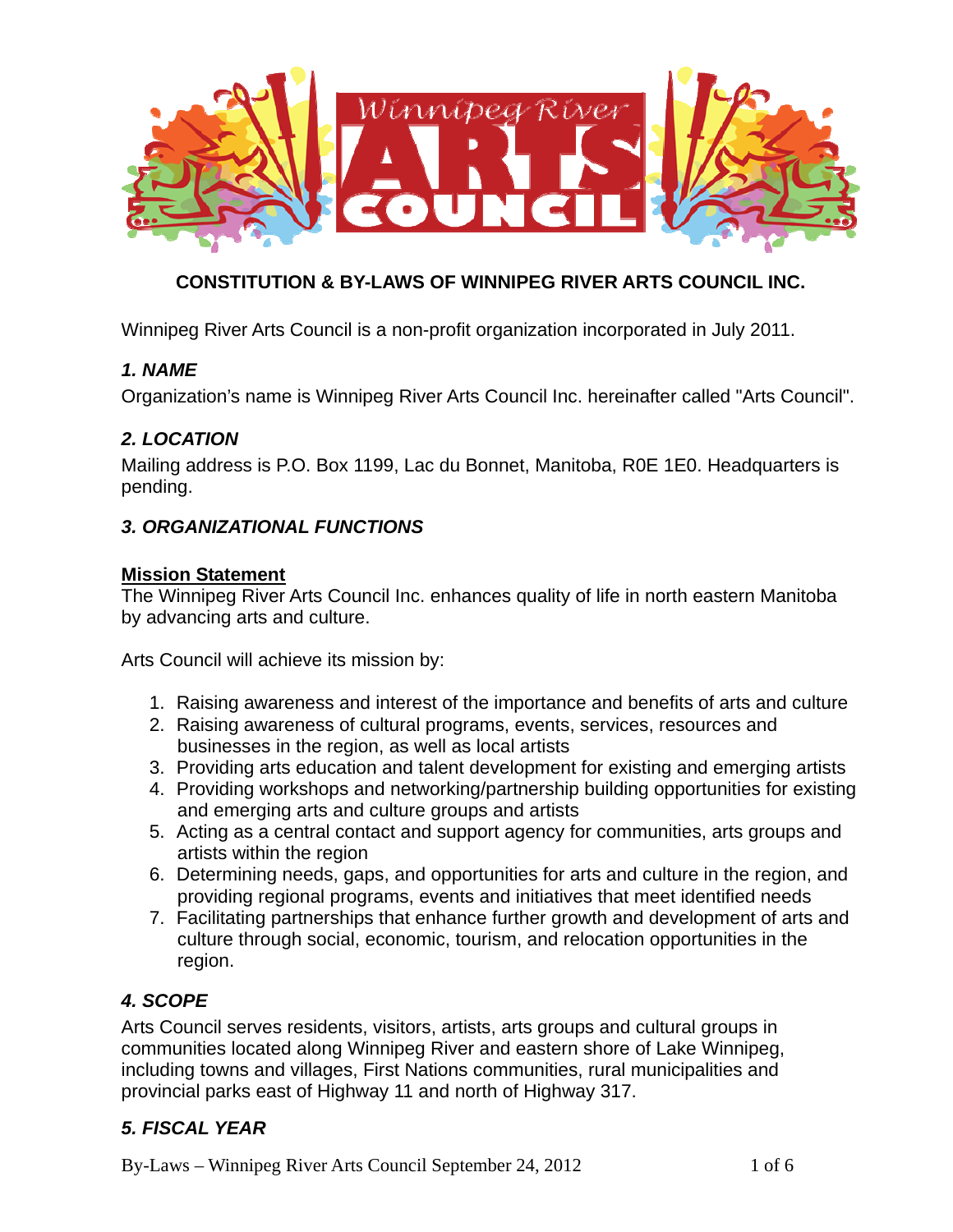

# **CONSTITUTION & BY-LAWS OF WINNIPEG RIVER ARTS COUNCIL INC.**

Winnipeg River Arts Council is a non-profit organization incorporated in July 2011.

#### *1. NAME*

Organization's name is Winnipeg River Arts Council Inc. hereinafter called "Arts Council".

#### *2. LOCATION*

Mailing address is P.O. Box 1199, Lac du Bonnet, Manitoba, R0E 1E0. Headquarters is pending.

#### *3. ORGANIZATIONAL FUNCTIONS*

#### **Mission Statement**

The Winnipeg River Arts Council Inc. enhances quality of life in north eastern Manitoba by advancing arts and culture.

Arts Council will achieve its mission by:

- 1. Raising awareness and interest of the importance and benefits of arts and culture
- 2. Raising awareness of cultural programs, events, services, resources and businesses in the region, as well as local artists
- 3. Providing arts education and talent development for existing and emerging artists
- 4. Providing workshops and networking/partnership building opportunities for existing and emerging arts and culture groups and artists
- 5. Acting as a central contact and support agency for communities, arts groups and artists within the region
- 6. Determining needs, gaps, and opportunities for arts and culture in the region, and providing regional programs, events and initiatives that meet identified needs
- 7. Facilitating partnerships that enhance further growth and development of arts and culture through social, economic, tourism, and relocation opportunities in the region.

# *4. SCOPE*

Arts Council serves residents, visitors, artists, arts groups and cultural groups in communities located along Winnipeg River and eastern shore of Lake Winnipeg, including towns and villages, First Nations communities, rural municipalities and provincial parks east of Highway 11 and north of Highway 317.

# *5. FISCAL YEAR*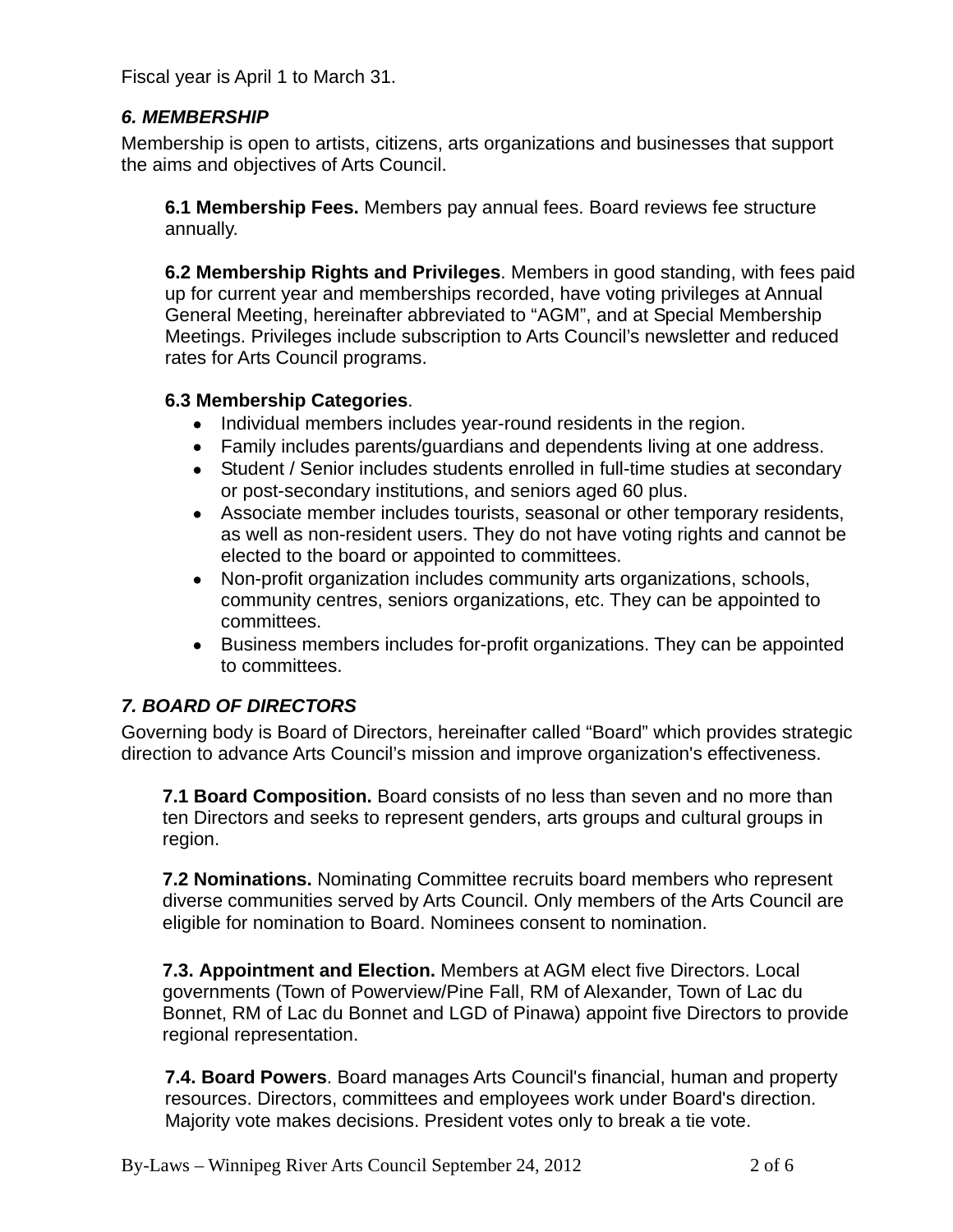Fiscal year is April 1 to March 31.

# *6. MEMBERSHIP*

Membership is open to artists, citizens, arts organizations and businesses that support the aims and objectives of Arts Council.

**6.1 Membership Fees.** Members pay annual fees. Board reviews fee structure annually.

**6.2 Membership Rights and Privileges**. Members in good standing, with fees paid up for current year and memberships recorded, have voting privileges at Annual General Meeting, hereinafter abbreviated to "AGM", and at Special Membership Meetings. Privileges include subscription to Arts Council's newsletter and reduced rates for Arts Council programs.

# **6.3 Membership Categories**.

- Individual members includes year-round residents in the region.
- Family includes parents/guardians and dependents living at one address.
- Student / Senior includes students enrolled in full-time studies at secondary or post-secondary institutions, and seniors aged 60 plus.
- Associate member includes tourists, seasonal or other temporary residents, as well as non-resident users. They do not have voting rights and cannot be elected to the board or appointed to committees.
- Non-profit organization includes community arts organizations, schools, community centres, seniors organizations, etc. They can be appointed to committees.
- Business members includes for-profit organizations. They can be appointed to committees.

# *7. BOARD OF DIRECTORS*

Governing body is Board of Directors, hereinafter called "Board" which provides strategic direction to advance Arts Council's mission and improve organization's effectiveness.

**7.1 Board Composition.** Board consists of no less than seven and no more than ten Directors and seeks to represent genders, arts groups and cultural groups in region.

**7.2 Nominations.** Nominating Committee recruits board members who represent diverse communities served by Arts Council. Only members of the Arts Council are eligible for nomination to Board. Nominees consent to nomination.

**7.3. Appointment and Election.** Members at AGM elect five Directors. Local governments (Town of Powerview/Pine Fall, RM of Alexander, Town of Lac du Bonnet, RM of Lac du Bonnet and LGD of Pinawa) appoint five Directors to provide regional representation.

**7.4. Board Powers**. Board manages Arts Council's financial, human and property resources. Directors, committees and employees work under Board's direction. Majority vote makes decisions. President votes only to break a tie vote.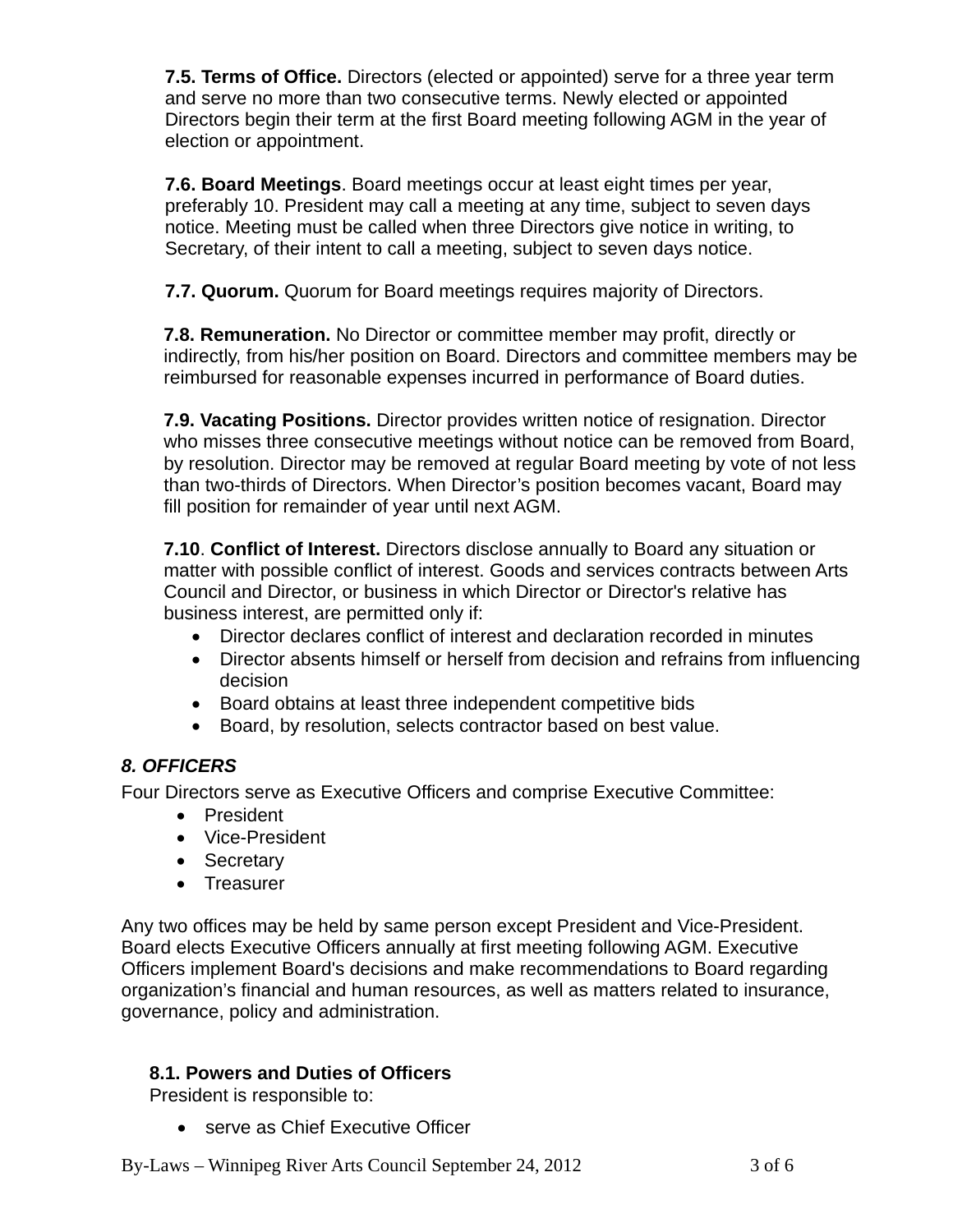**7.5. Terms of Office.** Directors (elected or appointed) serve for a three year term and serve no more than two consecutive terms. Newly elected or appointed Directors begin their term at the first Board meeting following AGM in the year of election or appointment.

**7.6. Board Meetings**. Board meetings occur at least eight times per year, preferably 10. President may call a meeting at any time, subject to seven days notice. Meeting must be called when three Directors give notice in writing, to Secretary, of their intent to call a meeting, subject to seven days notice.

**7.7. Quorum.** Quorum for Board meetings requires majority of Directors.

**7.8. Remuneration.** No Director or committee member may profit, directly or indirectly, from his/her position on Board. Directors and committee members may be reimbursed for reasonable expenses incurred in performance of Board duties.

**7.9. Vacating Positions.** Director provides written notice of resignation. Director who misses three consecutive meetings without notice can be removed from Board, by resolution. Director may be removed at regular Board meeting by vote of not less than two-thirds of Directors. When Director's position becomes vacant, Board may fill position for remainder of year until next AGM.

**7.10**. **Conflict of Interest.** Directors disclose annually to Board any situation or matter with possible conflict of interest. Goods and services contracts between Arts Council and Director, or business in which Director or Director's relative has business interest, are permitted only if:

- Director declares conflict of interest and declaration recorded in minutes
- Director absents himself or herself from decision and refrains from influencing decision
- Board obtains at least three independent competitive bids
- Board, by resolution, selects contractor based on best value.

# *8. OFFICERS*

Four Directors serve as Executive Officers and comprise Executive Committee:

- President
- Vice-President
- Secretary
- Treasurer

Any two offices may be held by same person except President and Vice-President. Board elects Executive Officers annually at first meeting following AGM. Executive Officers implement Board's decisions and make recommendations to Board regarding organization's financial and human resources, as well as matters related to insurance, governance, policy and administration.

# **8.1. Powers and Duties of Officers**

President is responsible to:

• serve as Chief Executive Officer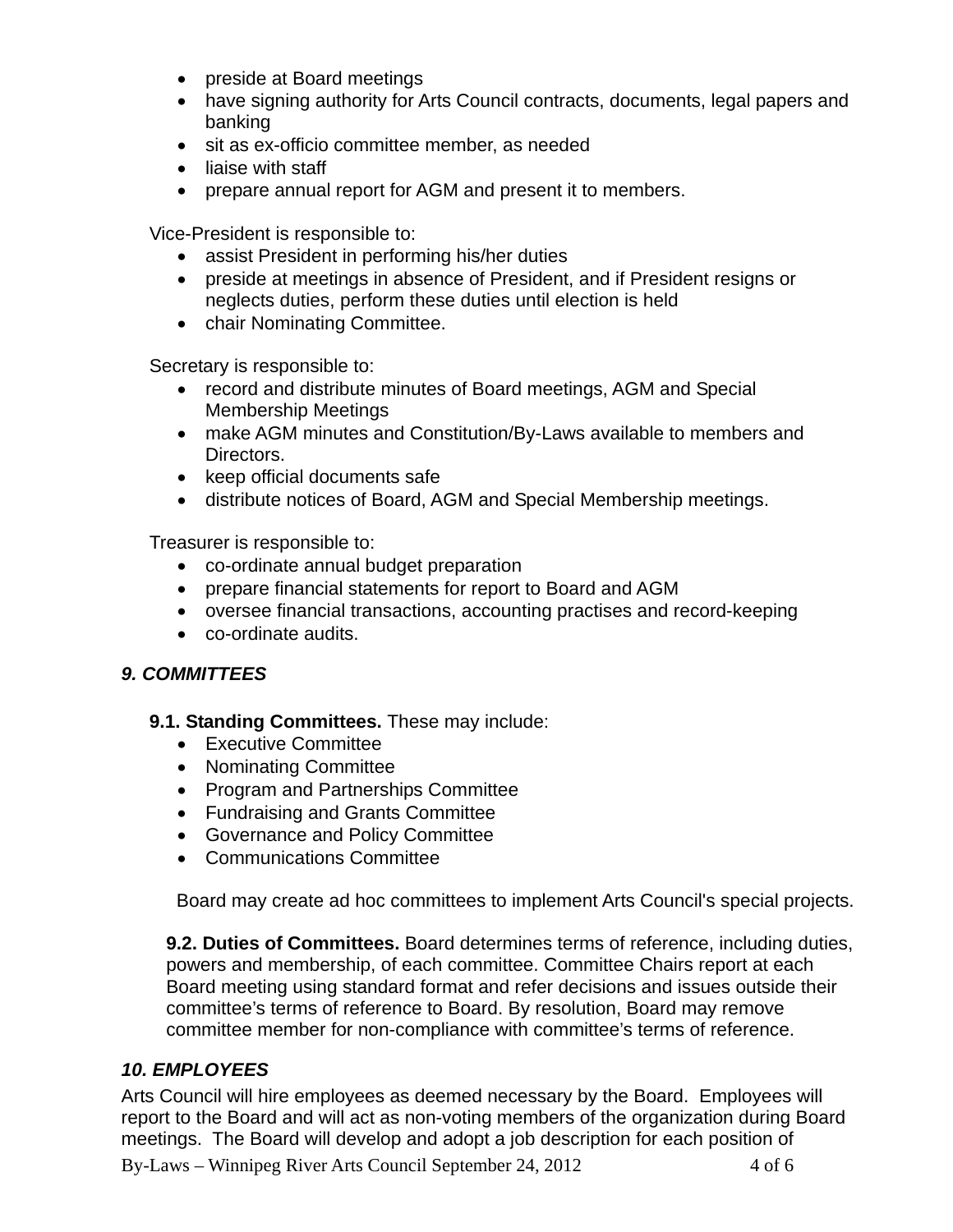- preside at Board meetings
- have signing authority for Arts Council contracts, documents, legal papers and banking
- sit as ex-officio committee member, as needed
- liaise with staff
- prepare annual report for AGM and present it to members.

Vice-President is responsible to:

- assist President in performing his/her duties
- preside at meetings in absence of President, and if President resigns or neglects duties, perform these duties until election is held
- chair Nominating Committee.

Secretary is responsible to:

- record and distribute minutes of Board meetings, AGM and Special Membership Meetings
- make AGM minutes and Constitution/By-Laws available to members and Directors.
- keep official documents safe
- distribute notices of Board, AGM and Special Membership meetings.

Treasurer is responsible to:

- co-ordinate annual budget preparation
- prepare financial statements for report to Board and AGM
- oversee financial transactions, accounting practises and record-keeping
- co-ordinate audits.

# *9. COMMITTEES*

#### **9.1. Standing Committees.** These may include:

- Executive Committee
- Nominating Committee
- Program and Partnerships Committee
- Fundraising and Grants Committee
- Governance and Policy Committee
- Communications Committee

Board may create ad hoc committees to implement Arts Council's special projects.

**9.2. Duties of Committees.** Board determines terms of reference, including duties, powers and membership, of each committee. Committee Chairs report at each Board meeting using standard format and refer decisions and issues outside their committee's terms of reference to Board. By resolution, Board may remove committee member for non-compliance with committee's terms of reference.

# *10. EMPLOYEES*

Arts Council will hire employees as deemed necessary by the Board. Employees will report to the Board and will act as non-voting members of the organization during Board meetings. The Board will develop and adopt a job description for each position of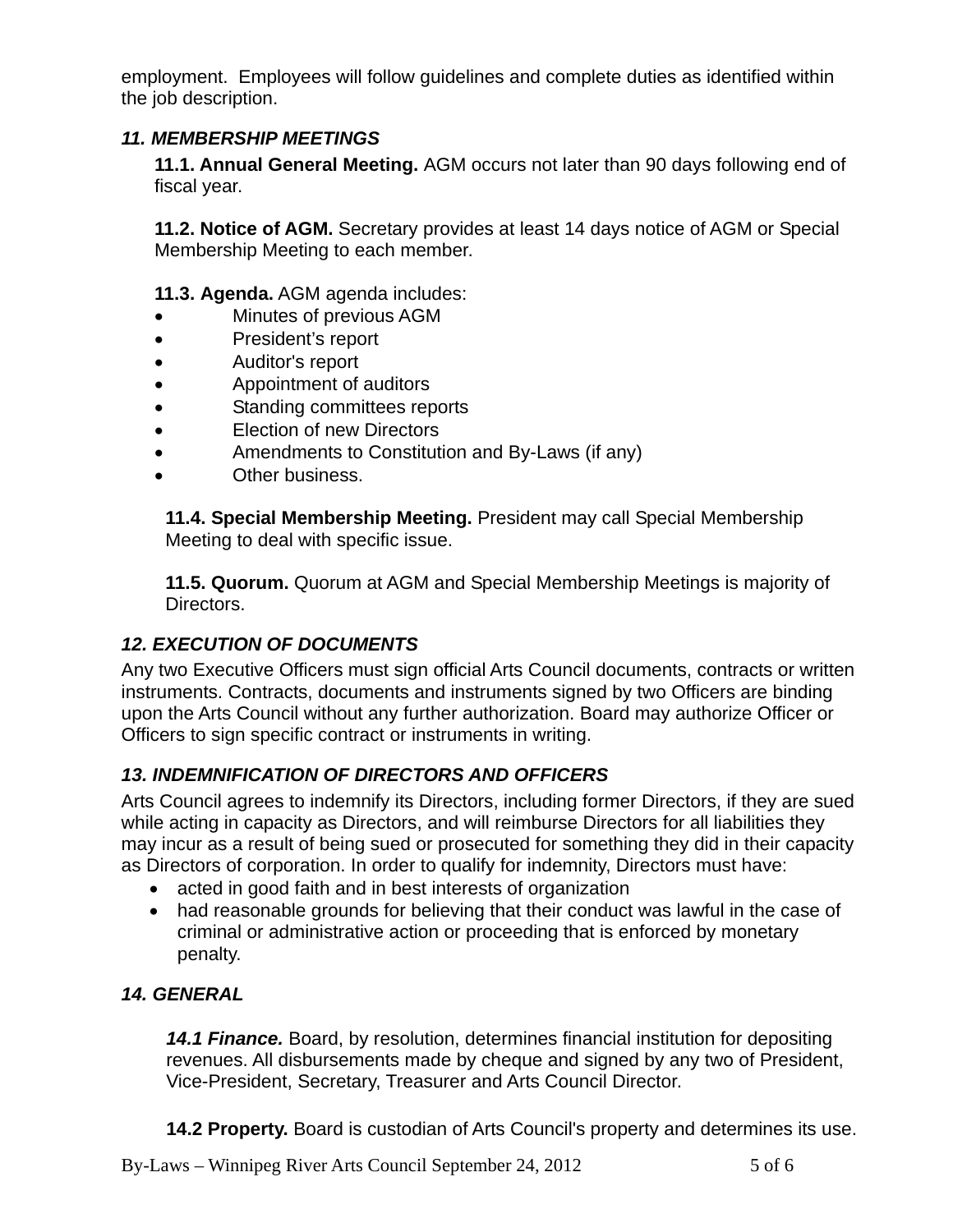employment. Employees will follow guidelines and complete duties as identified within the job description.

# *11. MEMBERSHIP MEETINGS*

**11.1. Annual General Meeting.** AGM occurs not later than 90 days following end of fiscal year.

**11.2. Notice of AGM.** Secretary provides at least 14 days notice of AGM or Special Membership Meeting to each member.

#### **11.3. Agenda.** AGM agenda includes:

- Minutes of previous AGM
- President's report
- Auditor's report
- Appointment of auditors
- Standing committees reports
- Election of new Directors
- Amendments to Constitution and By-Laws (if any)
- Other business.

**11.4. Special Membership Meeting.** President may call Special Membership Meeting to deal with specific issue.

**11.5. Quorum.** Quorum at AGM and Special Membership Meetings is majority of Directors.

# *12. EXECUTION OF DOCUMENTS*

Any two Executive Officers must sign official Arts Council documents, contracts or written instruments. Contracts, documents and instruments signed by two Officers are binding upon the Arts Council without any further authorization. Board may authorize Officer or Officers to sign specific contract or instruments in writing.

# *13. INDEMNIFICATION OF DIRECTORS AND OFFICERS*

Arts Council agrees to indemnify its Directors, including former Directors, if they are sued while acting in capacity as Directors, and will reimburse Directors for all liabilities they may incur as a result of being sued or prosecuted for something they did in their capacity as Directors of corporation. In order to qualify for indemnity, Directors must have:

- acted in good faith and in best interests of organization
- had reasonable grounds for believing that their conduct was lawful in the case of criminal or administrative action or proceeding that is enforced by monetary penalty.

# *14. GENERAL*

 *14.1 Finance.* Board, by resolution, determines financial institution for depositing revenues. All disbursements made by cheque and signed by any two of President, Vice-President, Secretary, Treasurer and Arts Council Director.

**14.2 Property.** Board is custodian of Arts Council's property and determines its use.